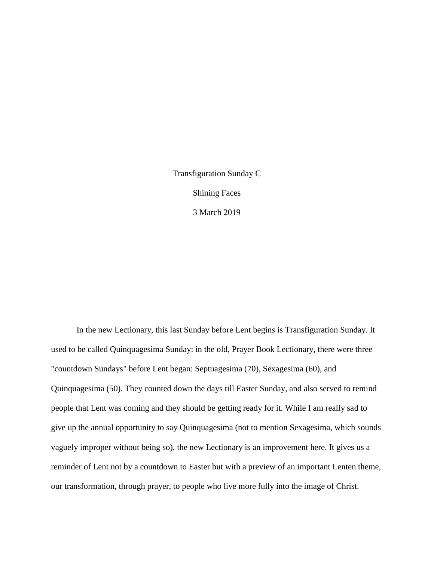Transfiguration Sunday C Shining Faces 3 March 2019

In the new Lectionary, this last Sunday before Lent begins is Transfiguration Sunday. It used to be called Quinquagesima Sunday: in the old, Prayer Book Lectionary, there were three "countdown Sundays" before Lent began: Septuagesima (70), Sexagesima (60), and Quinquagesima (50). They counted down the days till Easter Sunday, and also served to remind people that Lent was coming and they should be getting ready for it. While I am really sad to give up the annual opportunity to say Quinquagesima (not to mention Sexagesima, which sounds vaguely improper without being so), the new Lectionary is an improvement here. It gives us a reminder of Lent not by a countdown to Easter but with a preview of an important Lenten theme, our transformation, through prayer, to people who live more fully into the image of Christ.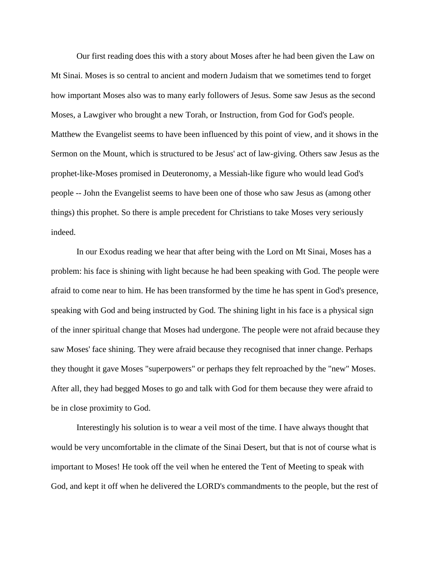Our first reading does this with a story about Moses after he had been given the Law on Mt Sinai. Moses is so central to ancient and modern Judaism that we sometimes tend to forget how important Moses also was to many early followers of Jesus. Some saw Jesus as the second Moses, a Lawgiver who brought a new Torah, or Instruction, from God for God's people. Matthew the Evangelist seems to have been influenced by this point of view, and it shows in the Sermon on the Mount, which is structured to be Jesus' act of law-giving. Others saw Jesus as the prophet-like-Moses promised in Deuteronomy, a Messiah-like figure who would lead God's people -- John the Evangelist seems to have been one of those who saw Jesus as (among other things) this prophet. So there is ample precedent for Christians to take Moses very seriously indeed.

In our Exodus reading we hear that after being with the Lord on Mt Sinai, Moses has a problem: his face is shining with light because he had been speaking with God. The people were afraid to come near to him. He has been transformed by the time he has spent in God's presence, speaking with God and being instructed by God. The shining light in his face is a physical sign of the inner spiritual change that Moses had undergone. The people were not afraid because they saw Moses' face shining. They were afraid because they recognised that inner change. Perhaps they thought it gave Moses "superpowers" or perhaps they felt reproached by the "new" Moses. After all, they had begged Moses to go and talk with God for them because they were afraid to be in close proximity to God.

Interestingly his solution is to wear a veil most of the time. I have always thought that would be very uncomfortable in the climate of the Sinai Desert, but that is not of course what is important to Moses! He took off the veil when he entered the Tent of Meeting to speak with God, and kept it off when he delivered the LORD's commandments to the people, but the rest of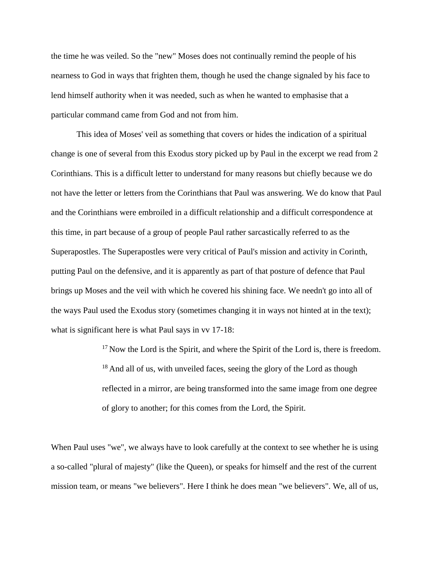the time he was veiled. So the "new" Moses does not continually remind the people of his nearness to God in ways that frighten them, though he used the change signaled by his face to lend himself authority when it was needed, such as when he wanted to emphasise that a particular command came from God and not from him.

This idea of Moses' veil as something that covers or hides the indication of a spiritual change is one of several from this Exodus story picked up by Paul in the excerpt we read from 2 Corinthians. This is a difficult letter to understand for many reasons but chiefly because we do not have the letter or letters from the Corinthians that Paul was answering. We do know that Paul and the Corinthians were embroiled in a difficult relationship and a difficult correspondence at this time, in part because of a group of people Paul rather sarcastically referred to as the Superapostles. The Superapostles were very critical of Paul's mission and activity in Corinth, putting Paul on the defensive, and it is apparently as part of that posture of defence that Paul brings up Moses and the veil with which he covered his shining face. We needn't go into all of the ways Paul used the Exodus story (sometimes changing it in ways not hinted at in the text); what is significant here is what Paul says in vv 17-18:

> $17$  Now the Lord is the Spirit, and where the Spirit of the Lord is, there is freedom.  $18$  And all of us, with unveiled faces, seeing the glory of the Lord as though reflected in a mirror, are being transformed into the same image from one degree of glory to another; for this comes from the Lord, the Spirit.

When Paul uses "we", we always have to look carefully at the context to see whether he is using a so-called "plural of majesty" (like the Queen), or speaks for himself and the rest of the current mission team, or means "we believers". Here I think he does mean "we believers". We, all of us,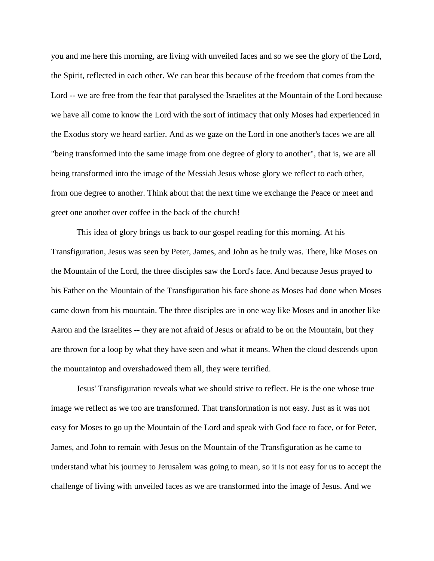you and me here this morning, are living with unveiled faces and so we see the glory of the Lord, the Spirit, reflected in each other. We can bear this because of the freedom that comes from the Lord -- we are free from the fear that paralysed the Israelites at the Mountain of the Lord because we have all come to know the Lord with the sort of intimacy that only Moses had experienced in the Exodus story we heard earlier. And as we gaze on the Lord in one another's faces we are all "being transformed into the same image from one degree of glory to another", that is, we are all being transformed into the image of the Messiah Jesus whose glory we reflect to each other, from one degree to another. Think about that the next time we exchange the Peace or meet and greet one another over coffee in the back of the church!

This idea of glory brings us back to our gospel reading for this morning. At his Transfiguration, Jesus was seen by Peter, James, and John as he truly was. There, like Moses on the Mountain of the Lord, the three disciples saw the Lord's face. And because Jesus prayed to his Father on the Mountain of the Transfiguration his face shone as Moses had done when Moses came down from his mountain. The three disciples are in one way like Moses and in another like Aaron and the Israelites -- they are not afraid of Jesus or afraid to be on the Mountain, but they are thrown for a loop by what they have seen and what it means. When the cloud descends upon the mountaintop and overshadowed them all, they were terrified.

Jesus' Transfiguration reveals what we should strive to reflect. He is the one whose true image we reflect as we too are transformed. That transformation is not easy. Just as it was not easy for Moses to go up the Mountain of the Lord and speak with God face to face, or for Peter, James, and John to remain with Jesus on the Mountain of the Transfiguration as he came to understand what his journey to Jerusalem was going to mean, so it is not easy for us to accept the challenge of living with unveiled faces as we are transformed into the image of Jesus. And we